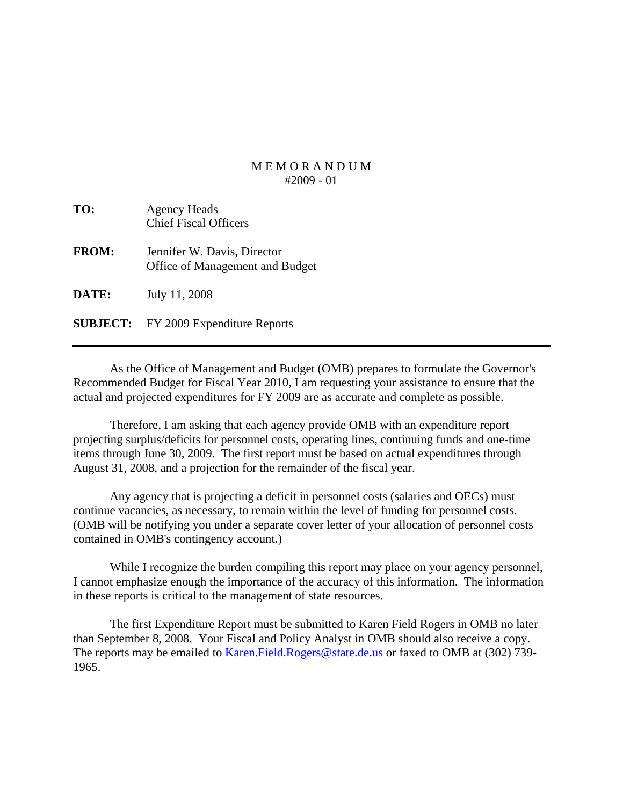## M E M O R A N D U M  $#2009 - 01$

| TO:             | <b>Agency Heads</b><br><b>Chief Fiscal Officers</b>            |
|-----------------|----------------------------------------------------------------|
| <b>FROM:</b>    | Jennifer W. Davis, Director<br>Office of Management and Budget |
| DATE:           | July 11, 2008                                                  |
| <b>SUBJECT:</b> | FY 2009 Expenditure Reports                                    |

 As the Office of Management and Budget (OMB) prepares to formulate the Governor's Recommended Budget for Fiscal Year 2010, I am requesting your assistance to ensure that the actual and projected expenditures for FY 2009 are as accurate and complete as possible.

 Therefore, I am asking that each agency provide OMB with an expenditure report projecting surplus/deficits for personnel costs, operating lines, continuing funds and one-time items through June 30, 2009. The first report must be based on actual expenditures through August 31, 2008, and a projection for the remainder of the fiscal year.

 Any agency that is projecting a deficit in personnel costs (salaries and OECs) must continue vacancies, as necessary, to remain within the level of funding for personnel costs. (OMB will be notifying you under a separate cover letter of your allocation of personnel costs contained in OMB's contingency account.)

While I recognize the burden compiling this report may place on your agency personnel, I cannot emphasize enough the importance of the accuracy of this information. The information in these reports is critical to the management of state resources.

 The first Expenditure Report must be submitted to Karen Field Rogers in OMB no later than September 8, 2008. Your Fiscal and Policy Analyst in OMB should also receive a copy. The reports may be emailed to Karen. Field. Rogers@state.de.us or faxed to OMB at (302) 739-1965.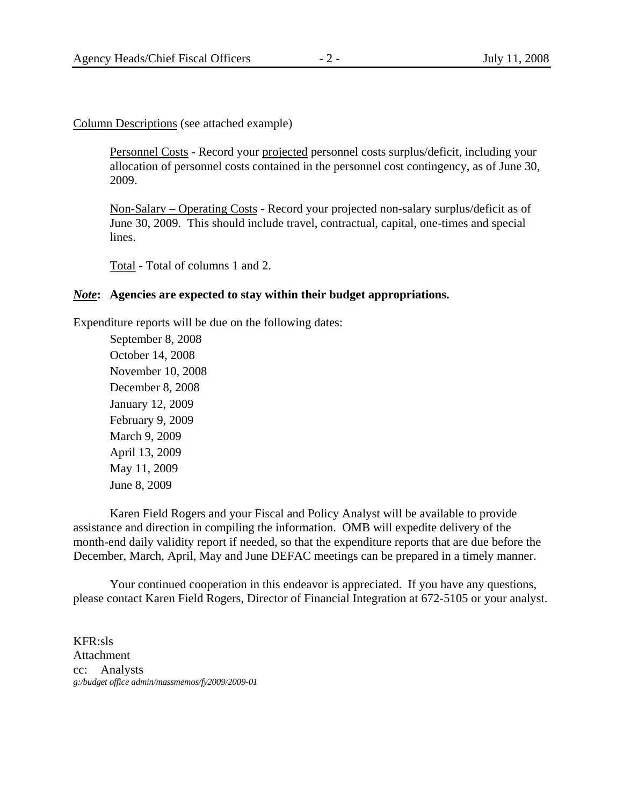Column Descriptions (see attached example)

 Personnel Costs - Record your projected personnel costs surplus/deficit, including your allocation of personnel costs contained in the personnel cost contingency, as of June 30, 2009.

 Non-Salary – Operating Costs - Record your projected non-salary surplus/deficit as of June 30, 2009. This should include travel, contractual, capital, one-times and special lines.

Total - Total of columns 1 and 2.

## *Note***: Agencies are expected to stay within their budget appropriations.**

Expenditure reports will be due on the following dates:

 September 8, 2008 October 14, 2008 November 10, 2008 December 8, 2008 January 12, 2009 February 9, 2009 March 9, 2009 April 13, 2009 May 11, 2009 June 8, 2009

 Karen Field Rogers and your Fiscal and Policy Analyst will be available to provide assistance and direction in compiling the information. OMB will expedite delivery of the month-end daily validity report if needed, so that the expenditure reports that are due before the December, March, April, May and June DEFAC meetings can be prepared in a timely manner.

 Your continued cooperation in this endeavor is appreciated. If you have any questions, please contact Karen Field Rogers, Director of Financial Integration at 672-5105 or your analyst.

KFR:sls Attachment cc: Analysts *g:/budget office admin/massmemos/fy2009/2009-01*